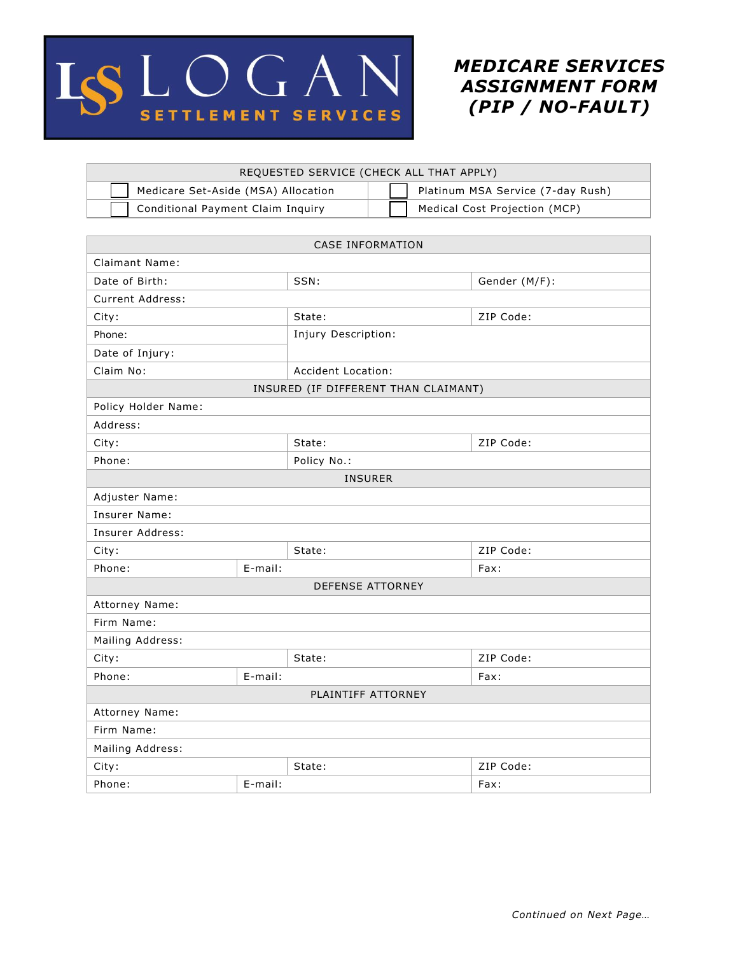

*MEDICARE SERVICES ASSIGNMENT FORM (PIP / NO-FAULT)*

| REQUESTED SERVICE (CHECK ALL THAT APPLY) |                                   |  |  |  |
|------------------------------------------|-----------------------------------|--|--|--|
| Medicare Set-Aside (MSA) Allocation      | Platinum MSA Service (7-day Rush) |  |  |  |
| Conditional Payment Claim Inquiry        | Medical Cost Projection (MCP)     |  |  |  |

| <b>CASE INFORMATION</b>              |                    |                     |               |  |
|--------------------------------------|--------------------|---------------------|---------------|--|
| <b>Claimant Name:</b>                |                    |                     |               |  |
| Date of Birth:                       |                    | SSN:                | Gender (M/F): |  |
| Current Address:                     |                    |                     |               |  |
| City:                                |                    | State:              | ZIP Code:     |  |
| Phone:                               |                    | Injury Description: |               |  |
| Date of Injury:                      |                    |                     |               |  |
| Claim No:                            | Accident Location: |                     |               |  |
| INSURED (IF DIFFERENT THAN CLAIMANT) |                    |                     |               |  |
| Policy Holder Name:                  |                    |                     |               |  |
| Address:                             |                    |                     |               |  |
| City:                                |                    | State:              | ZIP Code:     |  |
| Phone:                               |                    | Policy No.:         |               |  |
| <b>INSURER</b>                       |                    |                     |               |  |
| Adjuster Name:                       |                    |                     |               |  |
| Insurer Name:                        |                    |                     |               |  |
| Insurer Address:                     |                    |                     |               |  |
| City:                                |                    | State:              | ZIP Code:     |  |
| Phone:                               | E-mail:            |                     | Fax:          |  |
| <b>DEFENSE ATTORNEY</b>              |                    |                     |               |  |
| Attorney Name:                       |                    |                     |               |  |
| Firm Name:                           |                    |                     |               |  |
| Mailing Address:                     |                    |                     |               |  |
| City:                                |                    | State:              | ZIP Code:     |  |
| Phone:                               | E-mail:            |                     | Fax:          |  |
| PLAINTIFF ATTORNEY                   |                    |                     |               |  |
| Attorney Name:                       |                    |                     |               |  |
| Firm Name:                           |                    |                     |               |  |
| Mailing Address:                     |                    |                     |               |  |
| City:                                |                    | State:              | ZIP Code:     |  |
| Phone:                               | E-mail:            |                     | Fax:          |  |